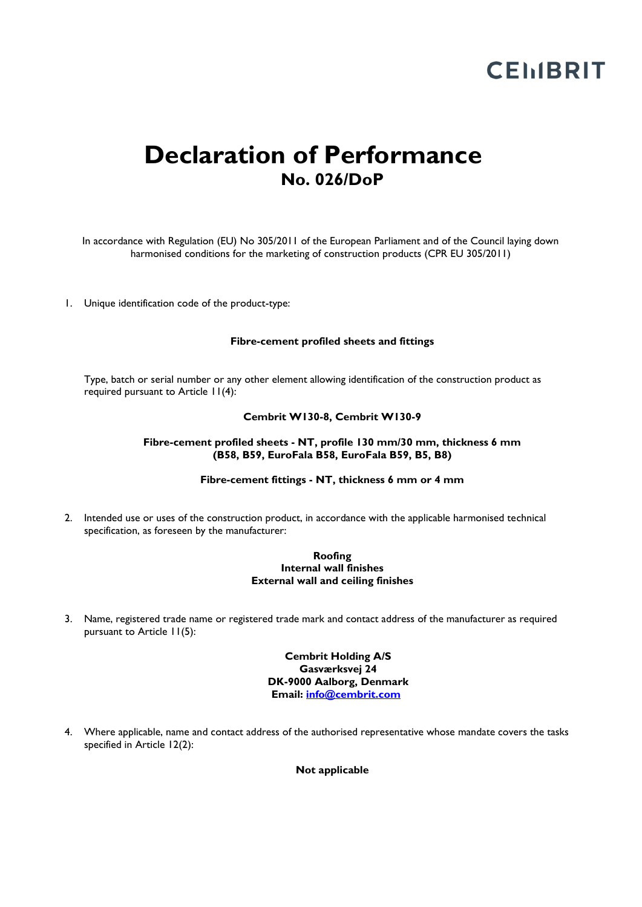### **Declaration of Performance No. 026/DoP**

In accordance with Regulation (EU) No 305/2011 of the European Parliament and of the Council laying down harmonised conditions for the marketing of construction products (CPR EU 305/2011)

1. Unique identification code of the product-type:

#### **Fibre-cement profiled sheets and fittings**

Type, batch or serial number or any other element allowing identification of the construction product as required pursuant to Article 11(4):

#### **Cembrit W130-8, Cembrit W130-9**

#### **Fibre-cement profiled sheets - NT, profile 130 mm/30 mm, thickness 6 mm (B58, B59, EuroFala B58, EuroFala B59, B5, B8)**

#### **Fibre-cement fittings - NT, thickness 6 mm or 4 mm**

2. Intended use or uses of the construction product, in accordance with the applicable harmonised technical specification, as foreseen by the manufacturer:

#### **Roofing Internal wall finishes External wall and ceiling finishes**

3. Name, registered trade name or registered trade mark and contact address of the manufacturer as required pursuant to Article 11(5):

#### **Cembrit Holding A/S Gasværksvej 24 DK-9000 Aalborg, Denmark Email: [info@cembrit.com](mailto:info@cembrit.com)**

4. Where applicable, name and contact address of the authorised representative whose mandate covers the tasks specified in Article 12(2):

**Not applicable**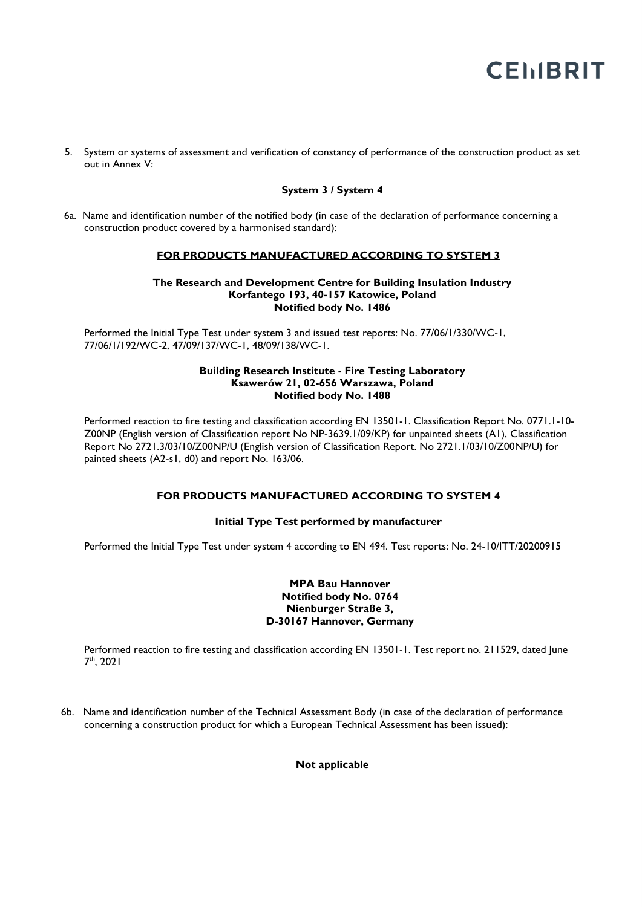5. System or systems of assessment and verification of constancy of performance of the construction product as set out in Annex V:

#### **System 3 / System 4**

6a. Name and identification number of the notified body (in case of the declaration of performance concerning a construction product covered by a harmonised standard):

#### **FOR PRODUCTS MANUFACTURED ACCORDING TO SYSTEM 3**

#### **The Research and Development Centre for Building Insulation Industry Korfantego 193, 40-157 Katowice, Poland Notified body No. 1486**

Performed the Initial Type Test under system 3 and issued test reports: No. 77/06/1/330/WC-1, 77/06/1/192/WC-2, 47/09/137/WC-1, 48/09/138/WC-1.

#### **Building Research Institute - Fire Testing Laboratory Ksawerów 21, 02-656 Warszawa, Poland Notified body No. 1488**

Performed reaction to fire testing and classification according EN 13501-1. Classification Report No. 0771.1-10-Z00NP (English version of Classification report No NP-3639.1/09/KP) for unpainted sheets (A1), Classification Report No 2721.3/03/10/Z00NP/U (English version of Classification Report. No 2721.1/03/10/Z00NP/U) for painted sheets (A2-s1, d0) and report No. 163/06.

#### **FOR PRODUCTS MANUFACTURED ACCORDING TO SYSTEM 4**

#### **Initial Type Test performed by manufacturer**

Performed the Initial Type Test under system 4 according to EN 494. Test reports: No. 24-10/ITT/20200915

#### **MPA Bau Hannover Notified body No. 0764 Nienburger Straße 3, D-30167 Hannover, Germany**

Performed reaction to fire testing and classification according EN 13501-1. Test report no. 211529, dated June 7 th, 2021

6b. Name and identification number of the Technical Assessment Body (in case of the declaration of performance concerning a construction product for which a European Technical Assessment has been issued):

**Not applicable**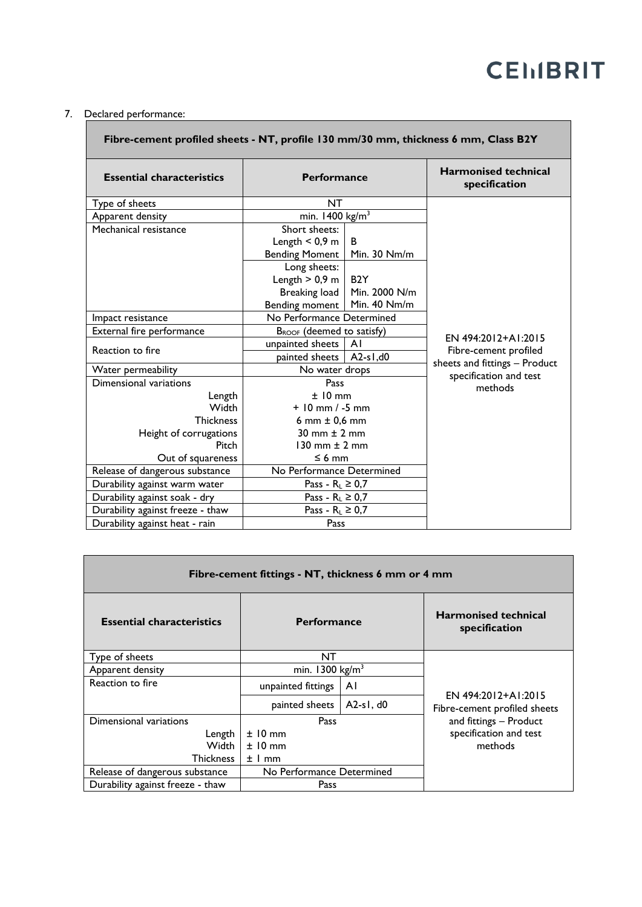### 7. Declared performance:

| Fibre-cement profiled sheets - NT, profile 130 mm/30 mm, thickness 6 mm, Class B2Y |                                       |                  |                                              |  |  |
|------------------------------------------------------------------------------------|---------------------------------------|------------------|----------------------------------------------|--|--|
| <b>Essential characteristics</b>                                                   | <b>Performance</b>                    |                  | <b>Harmonised technical</b><br>specification |  |  |
| Type of sheets                                                                     | <b>NT</b>                             |                  |                                              |  |  |
| Apparent density                                                                   | min. 1400 kg/m <sup>3</sup>           |                  |                                              |  |  |
| Mechanical resistance                                                              | Short sheets:                         |                  |                                              |  |  |
|                                                                                    | Length $< 0.9$ m                      | B                |                                              |  |  |
|                                                                                    | <b>Bending Moment</b>                 | Min. 30 Nm/m     |                                              |  |  |
|                                                                                    | Long sheets:                          |                  |                                              |  |  |
|                                                                                    | Length $> 0.9$ m                      | B <sub>2</sub> Y |                                              |  |  |
|                                                                                    | Breaking load                         | Min. 2000 N/m    |                                              |  |  |
|                                                                                    | Bending moment                        | Min. 40 Nm/m     |                                              |  |  |
| Impact resistance                                                                  | No Performance Determined             |                  | EN 494:2012+A1:2015                          |  |  |
| External fire performance                                                          | B <sub>ROOF</sub> (deemed to satisfy) |                  |                                              |  |  |
| Reaction to fire                                                                   | unpainted sheets                      | ΑI               | Fibre-cement profiled                        |  |  |
|                                                                                    | painted sheets<br>A2-s1, $d0$         |                  | sheets and fittings - Product                |  |  |
| Water permeability                                                                 | No water drops                        |                  | specification and test                       |  |  |
| Dimensional variations                                                             | Pass                                  |                  | methods                                      |  |  |
| Length                                                                             | $±10$ mm                              |                  |                                              |  |  |
| Width                                                                              | $+10$ mm $/ -5$ mm                    |                  |                                              |  |  |
| <b>Thickness</b>                                                                   | 6 mm $\pm$ 0,6 mm                     |                  |                                              |  |  |
| Height of corrugations                                                             | $30 \text{ mm} \pm 2 \text{ mm}$      |                  |                                              |  |  |
| Pitch                                                                              | 130 mm $\pm$ 2 mm                     |                  |                                              |  |  |
| Out of squareness                                                                  | $\leq 6$ mm                           |                  |                                              |  |  |
| Release of dangerous substance                                                     | No Performance Determined             |                  |                                              |  |  |
| Durability against warm water                                                      | Pass - $R_L \geq 0.7$                 |                  |                                              |  |  |
| Durability against soak - dry                                                      | Pass - $R_L \geq 0.7$                 |                  |                                              |  |  |
| Durability against freeze - thaw                                                   | Pass - $R_L \ge 0.7$                  |                  |                                              |  |  |
| Durability against heat - rain                                                     | Pass                                  |                  |                                              |  |  |

| Fibre-cement fittings - NT, thickness 6 mm or 4 mm |                            |             |                                              |  |  |
|----------------------------------------------------|----------------------------|-------------|----------------------------------------------|--|--|
| <b>Essential characteristics</b>                   | <b>Performance</b>         |             | <b>Harmonised technical</b><br>specification |  |  |
| Type of sheets                                     | NT                         |             |                                              |  |  |
| Apparent density                                   | min. $1300 \text{ kg/m}^3$ |             |                                              |  |  |
| Reaction to fire                                   | unpainted fittings         | ΑI          | EN 494:2012+A1:2015                          |  |  |
|                                                    | painted sheets             | $A2-s1. d0$ | Fibre-cement profiled sheets                 |  |  |
| Dimensional variations                             | Pass                       |             | and fittings - Product                       |  |  |
| Length                                             | $±10$ mm                   |             | specification and test                       |  |  |
| Width                                              | $±10$ mm                   |             | methods                                      |  |  |
| <b>Thickness</b>                                   | ± 1 mm                     |             |                                              |  |  |
| Release of dangerous substance                     | No Performance Determined  |             |                                              |  |  |
| Durability against freeze - thaw                   | Pass                       |             |                                              |  |  |